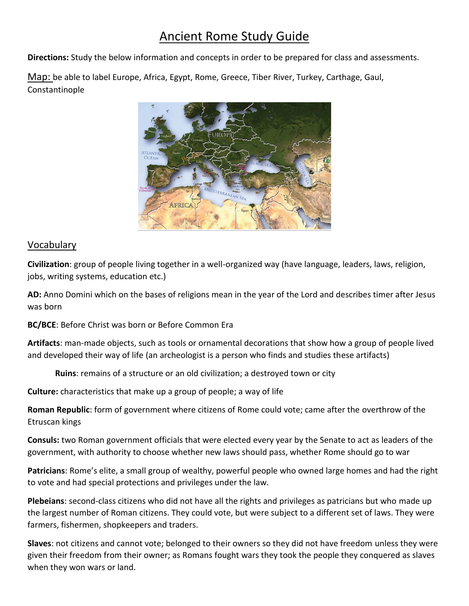# Ancient Rome Study Guide

**Directions:** Study the below information and concepts in order to be prepared for class and assessments.

Map: be able to label Europe, Africa, Egypt, Rome, Greece, Tiber River, Turkey, Carthage, Gaul, Constantinople



## Vocabulary

**Civilization**: group of people living together in a well-organized way (have language, leaders, laws, religion, jobs, writing systems, education etc.)

**AD:** Anno Domini which on the bases of religions mean in the year of the Lord and describes timer after Jesus was born

**BC/BCE**: Before Christ was born or Before Common Era

**Artifacts**: man-made objects, such as tools or ornamental decorations that show how a group of people lived and developed their way of life (an archeologist is a person who finds and studies these artifacts)

**Ruins**: remains of a structure or an old civilization; a destroyed town or city

**Culture:** characteristics that make up a group of people; a way of life

**Roman Republic**: form of government where citizens of Rome could vote; came after the overthrow of the Etruscan kings

**Consuls:** two Roman government officials that were elected every year by the Senate to act as leaders of the government, with authority to choose whether new laws should pass, whether Rome should go to war

**Patricians**: Rome's elite, a small group of wealthy, powerful people who owned large homes and had the right to vote and had special protections and privileges under the law.

**Plebeians**: second-class citizens who did not have all the rights and privileges as patricians but who made up the largest number of Roman citizens. They could vote, but were subject to a different set of laws. They were farmers, fishermen, shopkeepers and traders.

**Slaves**: not citizens and cannot vote; belonged to their owners so they did not have freedom unless they were given their freedom from their owner; as Romans fought wars they took the people they conquered as slaves when they won wars or land.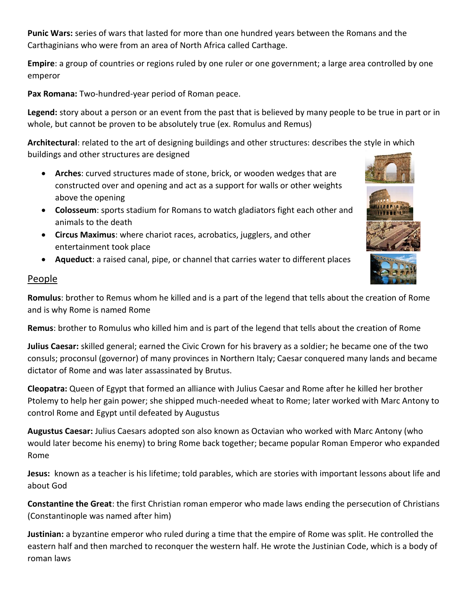**Punic Wars:** series of wars that lasted for more than one hundred years between the Romans and the Carthaginians who were from an area of North Africa called Carthage.

**Empire**: a group of countries or regions ruled by one ruler or one government; a large area controlled by one emperor

**Pax Romana:** Two-hundred-year period of Roman peace.

**Legend:** story about a person or an event from the past that is believed by many people to be true in part or in whole, but cannot be proven to be absolutely true (ex. Romulus and Remus)

**Architectural**: related to the art of designing buildings and other structures: describes the style in which buildings and other structures are designed

- **Arches**: curved structures made of stone, brick, or wooden wedges that are constructed over and opening and act as a support for walls or other weights above the opening
- **Colosseum**: sports stadium for Romans to watch gladiators fight each other and animals to the death
- **Circus Maximus**: where chariot races, acrobatics, jugglers, and other entertainment took place
- **Aqueduct**: a raised canal, pipe, or channel that carries water to different places

### People

**Romulus**: brother to Remus whom he killed and is a part of the legend that tells about the creation of Rome and is why Rome is named Rome

**Remus**: brother to Romulus who killed him and is part of the legend that tells about the creation of Rome

**Julius Caesar:** skilled general; earned the Civic Crown for his bravery as a soldier; he became one of the two consuls; proconsul (governor) of many provinces in Northern Italy; Caesar conquered many lands and became dictator of Rome and was later assassinated by Brutus.

**Cleopatra:** Queen of Egypt that formed an alliance with Julius Caesar and Rome after he killed her brother Ptolemy to help her gain power; she shipped much-needed wheat to Rome; later worked with Marc Antony to control Rome and Egypt until defeated by Augustus

**Augustus Caesar:** Julius Caesars adopted son also known as Octavian who worked with Marc Antony (who would later become his enemy) to bring Rome back together; became popular Roman Emperor who expanded Rome

**Jesus:** known as a teacher is his lifetime; told parables, which are stories with important lessons about life and about God

**Constantine the Great**: the first Christian roman emperor who made laws ending the persecution of Christians (Constantinople was named after him)

**Justinian:** a byzantine emperor who ruled during a time that the empire of Rome was split. He controlled the eastern half and then marched to reconquer the western half. He wrote the Justinian Code, which is a body of roman laws